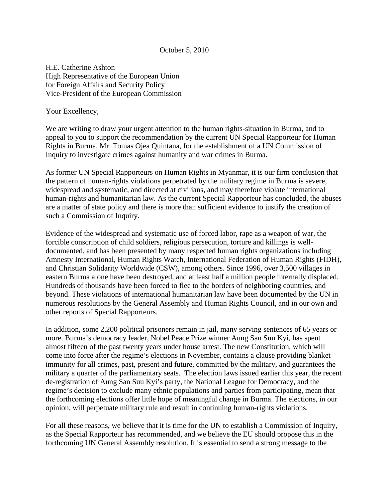## October 5, 2010

H.E. Catherine Ashton High Representative of the European Union for Foreign Affairs and Security Policy Vice-President of the European Commission

Your Excellency,

We are writing to draw your urgent attention to the human rights-situation in Burma, and to appeal to you to support the recommendation by the current UN Special Rapporteur for Human Rights in Burma, Mr. Tomas Ojea Quintana, for the establishment of a UN Commission of Inquiry to investigate crimes against humanity and war crimes in Burma.

As former UN Special Rapporteurs on Human Rights in Myanmar, it is our firm conclusion that the pattern of human-rights violations perpetrated by the military regime in Burma is severe, widespread and systematic, and directed at civilians, and may therefore violate international human-rights and humanitarian law. As the current Special Rapporteur has concluded, the abuses are a matter of state policy and there is more than sufficient evidence to justify the creation of such a Commission of Inquiry.

Evidence of the widespread and systematic use of forced labor, rape as a weapon of war, the forcible conscription of child soldiers, religious persecution, torture and killings is welldocumented, and has been presented by many respected human rights organizations including Amnesty International, Human Rights Watch, International Federation of Human Rights (FIDH), and Christian Solidarity Worldwide (CSW), among others. Since 1996, over 3,500 villages in eastern Burma alone have been destroyed, and at least half a million people internally displaced. Hundreds of thousands have been forced to flee to the borders of neighboring countries, and beyond. These violations of international humanitarian law have been documented by the UN in numerous resolutions by the General Assembly and Human Rights Council, and in our own and other reports of Special Rapporteurs.

In addition, some 2,200 political prisoners remain in jail, many serving sentences of 65 years or more. Burma's democracy leader, Nobel Peace Prize winner Aung San Suu Kyi, has spent almost fifteen of the past twenty years under house arrest. The new Constitution, which will come into force after the regime's elections in November, contains a clause providing blanket immunity for all crimes, past, present and future, committed by the military, and guarantees the military a quarter of the parliamentary seats. The election laws issued earlier this year, the recent de-registration of Aung San Suu Kyi's party, the National League for Democracy, and the regime's decision to exclude many ethnic populations and parties from participating, mean that the forthcoming elections offer little hope of meaningful change in Burma. The elections, in our opinion, will perpetuate military rule and result in continuing human-rights violations.

For all these reasons, we believe that it is time for the UN to establish a Commission of Inquiry, as the Special Rapporteur has recommended, and we believe the EU should propose this in the forthcoming UN General Assembly resolution. It is essential to send a strong message to the